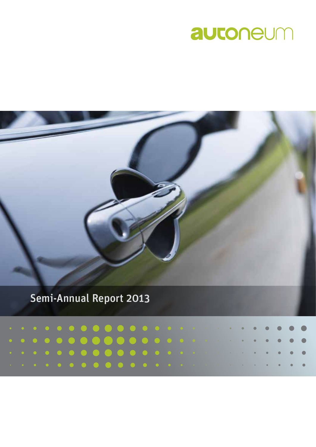# autoneum



## Semi-Annual Report 2013

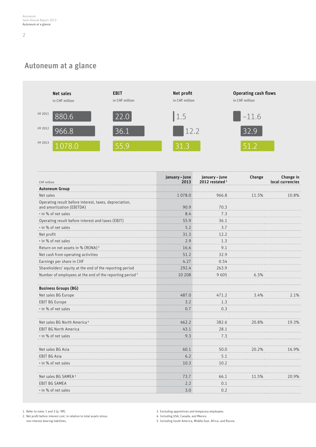### Autoneum at a glance



| <b>Autoneum Group</b><br>1078.0<br>966.8<br>Net sales<br>11.5%<br>10.8%<br>Operating result before interest, taxes, depreciation,<br>and amortization (EBITDA)<br>90.9<br>70.3<br>· in % of net sales<br>7.3<br>8.4<br>Operating result before interest and taxes (EBIT)<br>55.9<br>36.1<br>· in % of net sales<br>5.2<br>3.7<br>31.3<br>Net profit<br>12.2<br>· in % of net sales<br>2.9<br>1.3<br>Return on net assets in % (RONA) <sup>2</sup><br>9.1<br>16.6<br>51.2<br>Net cash from operating activities<br>32.9<br>4.27<br>0.54<br>Earnings per share in CHF<br>Shareholders' equity at the end of the reporting period<br>292.4<br>263.9<br>Number of employees at the end of the reporting period <sup>3</sup><br>6.3%<br>10 208<br>9605<br><b>Business Groups (BG)</b><br>Net sales BG Europe<br>487.0<br>471.2<br>3.4%<br>2.1%<br>EBIT BG Europe<br>3.2<br>1.3<br>· in % of net sales<br>0.7<br>0.3<br>Net sales BG North America <sup>4</sup><br>462.2<br>382.6<br>20.8%<br>19.3%<br><b>EBIT BG North America</b><br>43.1<br>28.1<br>· in % of net sales<br>9.3<br>7.3<br>Net sales BG Asia<br>60.1<br>50.0<br>20.2%<br>16.9%<br>6.2<br>5.1<br><b>EBIT BG Asia</b><br>· in % of net sales<br>10.3<br>10.2<br>Net sales BG SAMEA <sup>5</sup><br>73.7<br>66.1<br>11.5%<br>20.9%<br>2.2<br>EBIT BG SAMEA<br>0.1 | CHF million         | January-June<br>2013 | January - June<br>2012 restated <sup>1</sup> | Change | Change in<br>local currencies |
|---------------------------------------------------------------------------------------------------------------------------------------------------------------------------------------------------------------------------------------------------------------------------------------------------------------------------------------------------------------------------------------------------------------------------------------------------------------------------------------------------------------------------------------------------------------------------------------------------------------------------------------------------------------------------------------------------------------------------------------------------------------------------------------------------------------------------------------------------------------------------------------------------------------------------------------------------------------------------------------------------------------------------------------------------------------------------------------------------------------------------------------------------------------------------------------------------------------------------------------------------------------------------------------------------------------------------|---------------------|----------------------|----------------------------------------------|--------|-------------------------------|
|                                                                                                                                                                                                                                                                                                                                                                                                                                                                                                                                                                                                                                                                                                                                                                                                                                                                                                                                                                                                                                                                                                                                                                                                                                                                                                                           |                     |                      |                                              |        |                               |
|                                                                                                                                                                                                                                                                                                                                                                                                                                                                                                                                                                                                                                                                                                                                                                                                                                                                                                                                                                                                                                                                                                                                                                                                                                                                                                                           |                     |                      |                                              |        |                               |
|                                                                                                                                                                                                                                                                                                                                                                                                                                                                                                                                                                                                                                                                                                                                                                                                                                                                                                                                                                                                                                                                                                                                                                                                                                                                                                                           |                     |                      |                                              |        |                               |
|                                                                                                                                                                                                                                                                                                                                                                                                                                                                                                                                                                                                                                                                                                                                                                                                                                                                                                                                                                                                                                                                                                                                                                                                                                                                                                                           |                     |                      |                                              |        |                               |
|                                                                                                                                                                                                                                                                                                                                                                                                                                                                                                                                                                                                                                                                                                                                                                                                                                                                                                                                                                                                                                                                                                                                                                                                                                                                                                                           |                     |                      |                                              |        |                               |
|                                                                                                                                                                                                                                                                                                                                                                                                                                                                                                                                                                                                                                                                                                                                                                                                                                                                                                                                                                                                                                                                                                                                                                                                                                                                                                                           |                     |                      |                                              |        |                               |
|                                                                                                                                                                                                                                                                                                                                                                                                                                                                                                                                                                                                                                                                                                                                                                                                                                                                                                                                                                                                                                                                                                                                                                                                                                                                                                                           |                     |                      |                                              |        |                               |
|                                                                                                                                                                                                                                                                                                                                                                                                                                                                                                                                                                                                                                                                                                                                                                                                                                                                                                                                                                                                                                                                                                                                                                                                                                                                                                                           |                     |                      |                                              |        |                               |
|                                                                                                                                                                                                                                                                                                                                                                                                                                                                                                                                                                                                                                                                                                                                                                                                                                                                                                                                                                                                                                                                                                                                                                                                                                                                                                                           |                     |                      |                                              |        |                               |
|                                                                                                                                                                                                                                                                                                                                                                                                                                                                                                                                                                                                                                                                                                                                                                                                                                                                                                                                                                                                                                                                                                                                                                                                                                                                                                                           |                     |                      |                                              |        |                               |
|                                                                                                                                                                                                                                                                                                                                                                                                                                                                                                                                                                                                                                                                                                                                                                                                                                                                                                                                                                                                                                                                                                                                                                                                                                                                                                                           |                     |                      |                                              |        |                               |
|                                                                                                                                                                                                                                                                                                                                                                                                                                                                                                                                                                                                                                                                                                                                                                                                                                                                                                                                                                                                                                                                                                                                                                                                                                                                                                                           |                     |                      |                                              |        |                               |
|                                                                                                                                                                                                                                                                                                                                                                                                                                                                                                                                                                                                                                                                                                                                                                                                                                                                                                                                                                                                                                                                                                                                                                                                                                                                                                                           |                     |                      |                                              |        |                               |
|                                                                                                                                                                                                                                                                                                                                                                                                                                                                                                                                                                                                                                                                                                                                                                                                                                                                                                                                                                                                                                                                                                                                                                                                                                                                                                                           |                     |                      |                                              |        |                               |
|                                                                                                                                                                                                                                                                                                                                                                                                                                                                                                                                                                                                                                                                                                                                                                                                                                                                                                                                                                                                                                                                                                                                                                                                                                                                                                                           |                     |                      |                                              |        |                               |
|                                                                                                                                                                                                                                                                                                                                                                                                                                                                                                                                                                                                                                                                                                                                                                                                                                                                                                                                                                                                                                                                                                                                                                                                                                                                                                                           |                     |                      |                                              |        |                               |
|                                                                                                                                                                                                                                                                                                                                                                                                                                                                                                                                                                                                                                                                                                                                                                                                                                                                                                                                                                                                                                                                                                                                                                                                                                                                                                                           |                     |                      |                                              |        |                               |
|                                                                                                                                                                                                                                                                                                                                                                                                                                                                                                                                                                                                                                                                                                                                                                                                                                                                                                                                                                                                                                                                                                                                                                                                                                                                                                                           |                     |                      |                                              |        |                               |
|                                                                                                                                                                                                                                                                                                                                                                                                                                                                                                                                                                                                                                                                                                                                                                                                                                                                                                                                                                                                                                                                                                                                                                                                                                                                                                                           |                     |                      |                                              |        |                               |
|                                                                                                                                                                                                                                                                                                                                                                                                                                                                                                                                                                                                                                                                                                                                                                                                                                                                                                                                                                                                                                                                                                                                                                                                                                                                                                                           |                     |                      |                                              |        |                               |
|                                                                                                                                                                                                                                                                                                                                                                                                                                                                                                                                                                                                                                                                                                                                                                                                                                                                                                                                                                                                                                                                                                                                                                                                                                                                                                                           |                     |                      |                                              |        |                               |
|                                                                                                                                                                                                                                                                                                                                                                                                                                                                                                                                                                                                                                                                                                                                                                                                                                                                                                                                                                                                                                                                                                                                                                                                                                                                                                                           |                     |                      |                                              |        |                               |
|                                                                                                                                                                                                                                                                                                                                                                                                                                                                                                                                                                                                                                                                                                                                                                                                                                                                                                                                                                                                                                                                                                                                                                                                                                                                                                                           |                     |                      |                                              |        |                               |
|                                                                                                                                                                                                                                                                                                                                                                                                                                                                                                                                                                                                                                                                                                                                                                                                                                                                                                                                                                                                                                                                                                                                                                                                                                                                                                                           |                     |                      |                                              |        |                               |
|                                                                                                                                                                                                                                                                                                                                                                                                                                                                                                                                                                                                                                                                                                                                                                                                                                                                                                                                                                                                                                                                                                                                                                                                                                                                                                                           |                     |                      |                                              |        |                               |
|                                                                                                                                                                                                                                                                                                                                                                                                                                                                                                                                                                                                                                                                                                                                                                                                                                                                                                                                                                                                                                                                                                                                                                                                                                                                                                                           | . in % of net sales | 3.0                  | 0.2                                          |        |                               |

1. Refer to notes 1 and 3 (p. 9ff).

2. Net profit before interest cost, in relation to total assets minus non-interest bearing liabilities.

3. Excluding apprentices and temporary employees.

4. Including USA, Canada, and Mexico.

5. Including South America, Middle East, Africa, and Russia.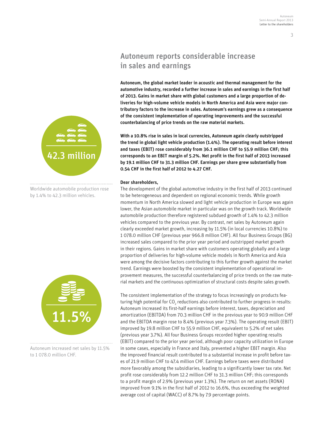### Autoneum reports considerable increase in sales and earnings

Autoneum, the global market leader in acoustic and thermal management for the automotive industry, recorded a further increase in sales and earnings in the first half of 2013. Gains in market share with global customers and a large proportion of deliveries for high-volume vehicle models in North America and Asia were major contributory factors to the increase in sales. Autoneum's earnings grew as a consequence of the consistent implementation of operating improvements and the successful counterbalancing of price trends on the raw material markets.

With a 10.8% rise in sales in local currencies, Autoneum again clearly outstripped the trend in global light vehicle production (1.4%). The operating result before interest and taxes (EBIT) rose considerably from 36.1 million CHF to 55.9 million CHF; this corresponds to an EBIT margin of 5.2%. Net profit in the first half of 2013 increased by 19.1 million CHF to 31.3 million CHF. Earnings per share grew substantially from 0.54 CHF in the first half of 2012 to 4.27 CHF.

#### Dear shareholders,

The development of the global automotive industry in the first half of 2013 continued to be heterogeneous and dependent on regional economic trends. While growth momentum in North America slowed and light vehicle production in Europe was again lower, the Asian automobile market in particular was on the growth track. Worldwide automobile production therefore registered subdued growth of 1.4% to 42.3 million vehicles compared to the previous year. By contrast, net sales by Autoneum again clearly exceeded market growth, increasing by 11.5% (in local currencies 10.8%) to 1 078.0 million CHF (previous year 966.8 million CHF). All four Business Groups (BG) increased sales compared to the prior year period and outstripped market growth in their regions. Gains in market share with customers operating globally and a large proportion of deliveries for high-volume vehicle models in North America and Asia were among the decisive factors contributing to this further growth against the market trend. Earnings were boosted by the consistent implementation of operational improvement measures, the successful counterbalancing of price trends on the raw material markets and the continuous optimization of structural costs despite sales growth.

The consistent implementation of the strategy to focus increasingly on products featuring high potential for CO<sub>2</sub> reductions also contributed to further progress in results: Autoneum increased its first-half earnings before interest, taxes, depreciation and amortization (EBITDA) from 70.3 million CHF in the previous year to 90.9 million CHF and the EBITDA margin rose to 8.4% (previous year 7.3%). The operating result (EBIT) improved by 19.8 million CHF to 55.9 million CHF, equivalent to 5.2% of net sales (previous year 3.7%). All four Business Groups recorded higher operating results (EBIT) compared to the prior year period, although poor capacity utilization in Europe in some cases, especially in France and Italy, prevented a higher EBIT margin. Also the improved financial result contributed to a substantial increase in profit before taxes of 21.9 million CHF to 47.4 million CHF. Earnings before taxes were distributed more favorably among the subsidiaries, leading to a significantly lower tax rate. Net profit rose considerably from 12.2 million CHF to 31.3 million CHF; this corresponds to a profit margin of 2.9% (previous year 1.3%). The return on net assets (RONA) improved from 9.1% in the first half of 2012 to 16.6%, thus exceeding the weighted average cost of capital (WACC) of 8.7% by 7.9 percentage points.



Worldwide automobile production rose by 1.4% to 42.3 million vehicles.



Autoneum increased net sales by 11.5% to 1 078.0 million CHF.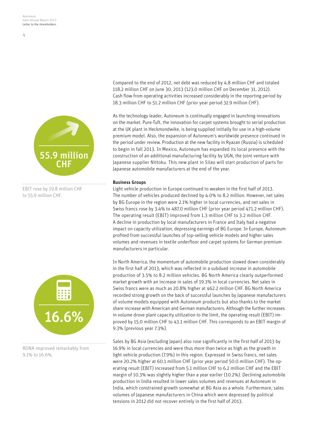$\overline{4}$ 



EBIT rose by 19.8 million CHF to 55.9 million CHF.



RONA improved remarkably from 9.1% to 16.6%.

Compared to the end of 2012, net debt was reduced by 4.8 million CHF and totaled 118.2 million CHF on June 30, 2013 (123.0 million CHF on December 31, 2012). Cash flow from operating activities increased considerably in the reporting period by 18.3 million CHF to 51.2 million CHF (prior year period 32.9 million CHF).

As the technology leader, Autoneum is continually engaged in launching innovations on the market. Pure-Tuft, the innovation for carpet systems brought to serial production at the UK plant in Heckmondwike, is being supplied initially for use in a high-volume premium model. Also, the expansion of Autoneum's worldwide presence continued in the period under review. Production at the new facility in Ryazan (Russia) is scheduled to begin in fall 2013. In Mexico, Autoneum has expanded its local presence with the construction of an additional manufacturing facility by UGN, the joint venture with Japanese supplier Nittoku. This new plant in Silao will start production of parts for Japanese automobile manufacturers at the end of the year.

#### Business Groups

Light vehicle production in Europe continued to weaken in the first half of 2013. The number of vehicles produced declined by 4.0% to 8.2 million. However, net sales by BG Europe in the region were 2.1% higher in local currencies, and net sales in Swiss francs rose by 3.4% to 487.0 million CHF (prior year period 471.2 million CHF). The operating result (EBIT) improved from 1.3 million CHF to 3.2 million CHF. A decline in production by local manufacturers in France and Italy had a negative impact on capacity utilization, depressing earnings of BG Europe. In Europe, Autoneum profited from successful launches of top-selling vehicle models and higher sales volumes and revenues in textile underfloor and carpet systems for German premium manufacturers in particular.

In North America, the momentum of automobile production slowed down considerably in the first half of 2013, which was reflected in a subdued increase in automobile production of 3.5% to 8.2 million vehicles. BG North America clearly outperformed market growth with an increase in sales of 19.3% in local currencies. Net sales in Swiss francs were as much as 20.8% higher at 462.2 million CHF. BG North America recorded strong growth on the back of successful launches by Japanese manufacturers of volume models equipped with Autoneum products but also thanks to the market share increase with American and German manufacturers. Although the further increases in volume drove plant capacity utilization to the limit, the operating result (EBIT) improved by 15.0 million CHF to 43.1 million CHF. This corresponds to an EBIT margin of 9.3% (previous year 7.3%).

Sales by BG Asia (excluding Japan) also rose significantly in the first half of 2013 by 16.9% in local currencies and were thus more than twice as high as the growth in light vehicle production (7.9%) in this region. Expressed in Swiss francs, net sales were 20.2% higher at 60.1 million CHF (prior year period 50.0 million CHF). The operating result (EBIT) increased from 5.1 million CHF to 6.2 million CHF and the EBIT margin of 10.3% was slightly higher than a year earlier (10.2%). Declining automobile production in India resulted in lower sales volumes and revenues at Autoneum in India, which constrained growth somewhat at BG Asia as a whole. Furthermore, sales volumes of Japanese manufacturers in China which were depressed by political tensions in 2012 did not recover entirely in the first half of 2013.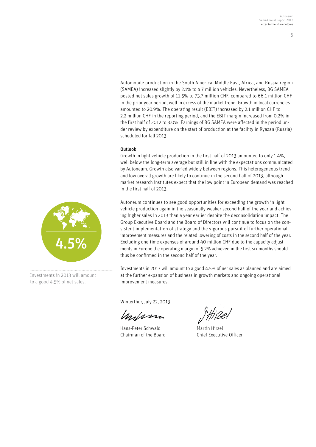Automobile production in the South America, Middle East, Africa, and Russia region (SAMEA) increased slightly by 2.1% to 4.7 million vehicles. Nevertheless, BG SAMEA posted net sales growth of 11.5% to 73.7 million CHF, compared to 66.1 million CHF in the prior year period, well in excess of the market trend. Growth in local currencies amounted to 20.9%. The operating result (EBIT) increased by 2.1 million CHF to 2.2 million CHF in the reporting period, and the EBIT margin increased from 0.2% in the first half of 2012 to 3.0%. Earnings of BG SAMEA were affected in the period under review by expenditure on the start of production at the facility in Ryazan (Russia) scheduled for fall 2013.

### Outlook

Growth in light vehicle production in the first half of 2013 amounted to only 1.4%, well below the long-term average but still in line with the expectations communicated by Autoneum. Growth also varied widely between regions. This heterogeneous trend and low overall growth are likely to continue in the second half of 2013, although market research institutes expect that the low point in European demand was reached in the first half of 2013.

Autoneum continues to see good opportunities for exceeding the growth in light vehicle production again in the seasonally weaker second half of the year and achieving higher sales in 2013 than a year earlier despite the deconsolidation impact. The Group Executive Board and the Board of Directors will continue to focus on the consistent implementation of strategy and the vigorous pursuit of further operational improvement measures and the related lowering of costs in the second half of the year. Excluding one-time expenses of around 40 million CHF due to the capacity adjustments in Europe the operating margin of 5.2% achieved in the first six months should thus be confirmed in the second half of the year.

Investments in 2013 will amount to a good 4.5% of net sales as planned and are aimed at the further expansion of business in growth markets and ongoing operational improvement measures.

Winterthur, July 22, 2013

Malana

Hans-Peter Schwald Martin Hirzel Chairman of the Board Chief Executive Officer



Investments in 2013 will amount to a good 4.5% of net sales.

5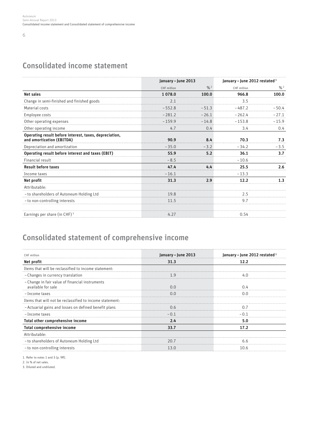### Consolidated income statement

|                                                                                     | January - June 2013 |          | January - June 2012 restated <sup>1</sup> |          |
|-------------------------------------------------------------------------------------|---------------------|----------|-------------------------------------------|----------|
|                                                                                     | CHF million         | $% ^{2}$ | CHF million                               | $% ^{2}$ |
| <b>Net sales</b>                                                                    | 1078.0              | 100.0    | 966.8                                     | 100.0    |
| Change in semi-finished and finished goods                                          | 2.1                 |          | 3.5                                       |          |
| Material costs                                                                      | $-552.8$            | $-51.3$  | $-487.2$                                  | - 50 4   |
| Employee costs                                                                      | $-281.2$            | $-26.1$  | $-262.4$                                  | $-27.1$  |
| Other operating expenses                                                            | $-159.9$            | $-14.8$  | $-153.8$                                  | $-15.9$  |
| Other operating income                                                              | 4.7                 | 0.4      | 3.4                                       | 0.4      |
| Operating result before interest, taxes, depreciation,<br>and amortization (EBITDA) | 90.9                | 8.4      | 70.3                                      | 7.3      |
| Depreciation and amortization                                                       | $-35.0$             | $-3.2$   | $-34.2$                                   | $-3.5$   |
| Operating result before interest and taxes (EBIT)                                   | 55.9                | 5.2      | 36.1                                      | 3.7      |
| Financial result                                                                    | $-8.5$              |          | $-10.6$                                   |          |
| <b>Result before taxes</b>                                                          | 47.4                | 4.4      | 25.5                                      | 2.6      |
| Income taxes                                                                        | $-16.1$             |          | $-13.3$                                   |          |
| Net profit                                                                          | 31.3                | 2.9      | 12.2                                      | 1.3      |
| Attributable:                                                                       |                     |          |                                           |          |
| - to shareholders of Autoneum Holding Ltd                                           | 19.8                |          | 2.5                                       |          |
| - to non-controlling interests                                                      | 11.5                |          | 9.7                                       |          |
| Earnings per share (in CHF) <sup>3</sup>                                            | 4.27                |          | 0.54                                      |          |

### Consolidated statement of comprehensive income

| CHF million                                                           | January – June 2013 | January – June 2012 restated 1 |
|-----------------------------------------------------------------------|---------------------|--------------------------------|
| Net profit                                                            | 31.3                | 12.2                           |
| Items that will be reclassified to income statement:                  |                     |                                |
| - Changes in currency translation                                     | 1 G                 | 40                             |
| - Change in fair value of financial instruments<br>available for sale |                     |                                |
| - Income taxes                                                        | 0.0                 | 0 O                            |
| Items that will not be reclassified to income statement:              |                     |                                |
| - Actuarial gains and losses on defined benefit plans                 | 0.6                 |                                |
| - Income taxes                                                        | $-0.1$              | - 0 1                          |
| Total other comprehensive income                                      | 2.4                 | 5.0                            |
| Total comprehensive income                                            | 33.7                | 17.2                           |
| Attributable:                                                         |                     |                                |
| - to shareholders of Autoneum Holding Ltd                             | 20 Z                | 66                             |
| - to non-controlling interests                                        | 13 C                | 10 6                           |

1. Refer to notes 1 and 3 (p. 9ff).

2. In % of net sales.

3. Diluted and undiluted.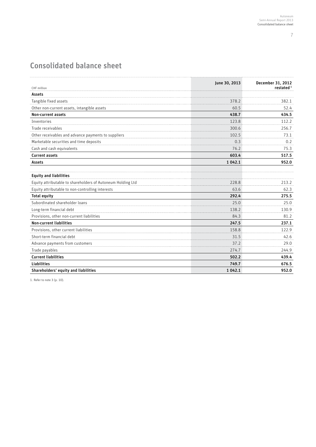7

### Consolidated balance sheet

| CHF million                                                 | June 30, 2013 | December 31, 2012<br>restated <sup>1</sup> |
|-------------------------------------------------------------|---------------|--------------------------------------------|
| Assets                                                      |               |                                            |
| Tangible fixed assets                                       | 378.2         | 382.1                                      |
| Other non-current assets, intangible assets                 | 60.5          | 52.4                                       |
| Non-current assets                                          | 438.7         | 434.5                                      |
| Inventories                                                 | 123.8         | 112.2                                      |
| Trade receivables                                           | 300.6         | 256.7                                      |
| Other receivables and advance payments to suppliers         | 102.5         | 73.1                                       |
| Marketable securities and time deposits                     | 0.3           | 0.2                                        |
| Cash and cash equivalents                                   | 76.2          | 75.3                                       |
| <b>Current assets</b>                                       | 603.4         | 517.5                                      |
| Assets                                                      | 1 0 4 2 . 1   | 952.0                                      |
| <b>Equity and liabilities</b>                               |               |                                            |
| Equity attributable to shareholders of Autoneum Holding Ltd | 228.8         | 213.2                                      |
| Equity attributable to non-controlling interests            | 63.6          | 62.3                                       |
| <b>Total equity</b>                                         | 292.4         | 275.5                                      |
| Subordinated shareholder loans                              | 25.0          | 25.0                                       |
| Long-term financial debt                                    | 138.2         | 130.9                                      |
| Provisions, other non-current liabilities                   | 84.3          | 81.2                                       |
| <b>Non-current liabilities</b>                              | 247.5         | 237.1                                      |
| Provisions, other current liabilities                       | 158.8         | 122.9                                      |
| Short-term financial debt                                   | 31.5          | 42.6                                       |
| Advance payments from customers                             | 37.2          | 29.0                                       |
| Trade payables                                              | 274.7         | 244.9                                      |
| <b>Current liabilities</b>                                  | 502.2         | 439.4                                      |
| <b>Liabilities</b>                                          | 749.7         | 676.5                                      |
| Shareholders' equity and liabilities                        | 1 0 4 2 . 1   | 952.0                                      |

1. Refer to note 3 (p. 10).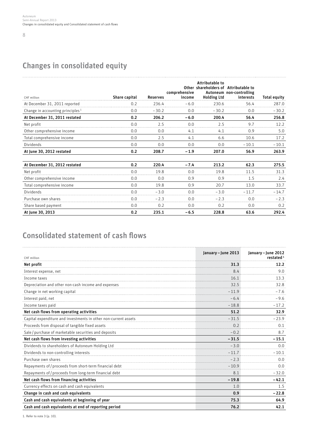### 8

### Changes in consolidated equity

| CHF million                                  | Share capital | <b>Reserves</b> | comprehensive<br>income | Attributable to<br>Other shareholders of Attributable to<br><b>Holding Ltd</b> | Autoneum non-controlling<br>interests | <b>Total equity</b> |
|----------------------------------------------|---------------|-----------------|-------------------------|--------------------------------------------------------------------------------|---------------------------------------|---------------------|
| At December 31, 2011 reported                | 0.2           | 236.4           | $-6.0$                  | 230.6                                                                          | 56.4                                  | 287.0               |
| Change in accounting principles <sup>1</sup> | 0.0           | $-30.2$         | 0.0                     | $-30.2$                                                                        | 0.0                                   | $-30.2$             |
| At December 31, 2011 restated                | 0.2           | 206.2           | $-6.0$                  | 200.4                                                                          | 56.4                                  | 256.8               |
| Net profit                                   | 0.0           | 2.5             | 0.0                     | 2.5                                                                            | 9.7                                   | 12.2                |
| Other comprehensive income                   | 0.0           | 0.0             | 4.1                     | 4.1                                                                            | 0.9                                   | 5.0                 |
| Total comprehensive income                   | 0.0           | 2.5             | 4.1                     | 6.6                                                                            | 10.6                                  | 17.2                |
| Dividends                                    | 0.0           | 0.0             | 0.0                     | 0.0                                                                            | $-10.1$                               | $-10.1$             |
| At June 30, 2012 restated                    | 0.2           | 208.7           | $-1.9$                  | 207.0                                                                          | 56.9                                  | 263.9               |
| At December 31, 2012 restated                | 0.2           | 220.4           | $-7.4$                  | 213.2                                                                          | 62.3                                  | 275.5               |
| Net profit                                   | 0.0           | 19.8            | 0.0                     | 19.8                                                                           | 11.5                                  | 31.3                |
| Other comprehensive income                   | 0.0           | 0.0             | 0.9                     | 0.9                                                                            | 1.5                                   | 2.4                 |
| Total comprehensive income                   | 0.0           | 19.8            | 0.9                     | 20.7                                                                           | 13.0                                  | 33.7                |
| Dividends                                    | 0.0           | $-3.0$          | 0.0                     | $-3.0$                                                                         | $-11.7$                               | $-14.7$             |
| Purchase own shares                          | 0 Q           | $-2.3$          | 0 <sub>0</sub>          | $-2.3$                                                                         | 0 <sub>0</sub>                        | $-2.3$              |
| Share based payment                          | 0.0           | 0.2             | 0.0                     | 0.2                                                                            | 0.0                                   | 0.2                 |
| At June 30, 2013                             | 0.2           | 235.1           | $-6.5$                  | 228.8                                                                          | 63.6                                  | 292.4               |

### Consolidated statement of cash flows

|                                                                 | January - June 2013 | January - June 2012   |
|-----------------------------------------------------------------|---------------------|-----------------------|
| CHF million                                                     |                     | restated <sup>1</sup> |
| Net profit                                                      | 31.3                | 12.2                  |
| Interest expense, net                                           | 8.4                 | 9.0                   |
| Income taxes                                                    | 16.1                | 13.3                  |
| Depreciation and other non-cash income and expenses             | 32.5                | 32.8                  |
| Change in net working capital                                   | $-11.9$             | $-7.6$                |
| Interest paid, net                                              | $-6.4$              | $-9.6$                |
| Income taxes paid                                               | $-18.8$             | $-17.2$               |
| Net cash flows from operating activities                        | 51.2                | 32.9                  |
| Capital expenditure and investments in other non-current assets | $-31.5$             | $-23.9$               |
| Proceeds from disposal of tangible fixed assets                 | 0.2                 | 0.1                   |
| Sale / purchase of marketable securities and deposits           | $-0.2$              | 8.7                   |
| Net cash flows from investing activities                        | $-31.5$             | $-15.1$               |
| Dividends to shareholders of Autoneum Holding Ltd               | $-3.0$              | 0.0                   |
| Dividends to non-controlling interests                          | $-11.7$             | $-10.1$               |
| Purchase own shares                                             | $-2.3$              | 0.0                   |
| Repayments of / proceeds from short-term financial debt         | $-10.9$             | 0.0                   |
| Repayments of / proceeds from long-term financial debt          | 8.1                 | $-32.0$               |
| Net cash flows from financing activities                        | $-19.8$             | $-42.1$               |
| Currency effects on cash and cash equivalents                   | 1.0                 | 1.5                   |
| Change in cash and cash equivalents                             | 0.9                 | $-22.8$               |
| Cash and cash equivalents at beginning of year                  | 75.3                | 64.9                  |
| Cash and cash equivalents at end of reporting period            | 76.2                | 42.1                  |

1. Refer to note 3 (p. 10).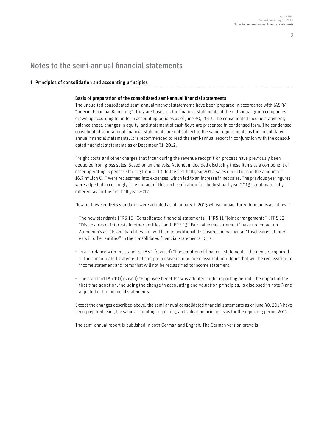$\Omega$ 

### Notes to the semi-annual financial statements

### 1 Principles of consolidation and accounting principles

#### Basis of preparation of the consolidated semi-annual financial statements

The unaudited consolidated semi-annual financial statements have been prepared in accordance with IAS 34 "Interim Financial Reporting". They are based on the financial statements of the individual group companies drawn up according to uniform accounting policies as of June 30, 2013. The consolidated income statement, balance sheet, changes in equity, and statement of cash flows are presented in condensed form. The condensed consolidated semi-annual financial statements are not subject to the same requirements as for consolidated annual financial statements. It is recommended to read the semi-annual report in conjunction with the consolidated financial statements as of December 31, 2012.

Freight costs and other charges that incur during the revenue recognition process have previously been deducted from gross sales. Based on an analysis, Autoneum decided disclosing these items as a component of other operating expenses starting from 2013. In the first half year 2012, sales deductions in the amount of 16.3 million CHF were reclassified into expenses, which led to an increase in net sales. The previous year figures were adjusted accordingly. The impact of this reclassification for the first half year 2013 is not materially different as for the first half year 2012.

New and revised IFRS standards were adopted as of January 1, 2013 whose impact for Autoneum is as follows:

- The new standards IFRS 10 "Consolidated financial statements", IFRS 11 "Joint arrangements", IFRS 12 "Disclosures of interests in other entities" and IFRS 13 "Fair value measurement" have no impact on Autoneum's assets and liabilities, but will lead to additional disclosures, in particular "Disclosures of interests in other entities" in the consolidated financial statements 2013.
- In accordance with the standard IAS 1 (revised) "Presentation of financial statements" the items recognized in the consolidated statement of comprehensive income are classified into items that will be reclassified to income statement and items that will not be reclassified to income statement.
- The standard IAS 19 (revised) "Employee benefits" was adopted in the reporting period. The impact of the first time adoption, including the change in accounting and valuation principles, is disclosed in note 3 and adjusted in the financial statements.

Except the changes described above, the semi-annual consolidated financial statements as of June 30, 2013 have been prepared using the same accounting, reporting, and valuation principles as for the reporting period 2012.

The semi-annual report is published in both German and English. The German version prevails.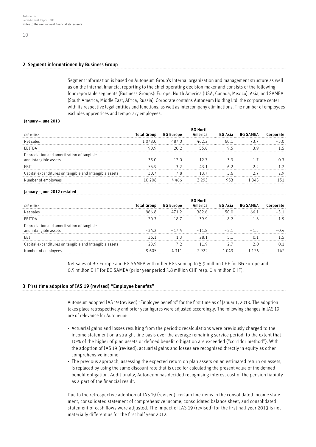### 2 Segment informationen by Business Group

Segment information is based on Autoneum Group's internal organization and management structure as well as on the internal financial reporting to the chief operating decision maker and consists of the following four reportable segments (Business Groups): Europe, North America (USA, Canada, Mexico), Asia, and SAMEA (South America, Middle East, Africa, Russia). Corporate contains Autoneum Holding Ltd, the corporate center with its respective legal entities and functions, as well as intercompany eliminations. The number of employees excludes apprentices and temporary employees.

#### January – June 2013

|                                                      |           | BG Eur |   |    | вь |  |
|------------------------------------------------------|-----------|--------|---|----|----|--|
|                                                      | 1 0 7 8 0 |        |   | 60 |    |  |
| FBI.                                                 |           |        |   |    |    |  |
| iation and amortization of tangible:                 | $-35.0$   | $-170$ | - |    |    |  |
|                                                      |           |        |   |    |    |  |
| ditures on tangible and intangible assets<br>l exnei |           | .      |   |    |    |  |
|                                                      |           |        |   |    |    |  |

#### January – June 2012 restated

| CHF million                                                           | Total Groun | <b>BG Europe</b> |           | <b>RG Asia</b> | <b>BG SAMEA</b> |  |
|-----------------------------------------------------------------------|-------------|------------------|-----------|----------------|-----------------|--|
| Net sales                                                             | 966.8       | 71 7             | 382 K     |                |                 |  |
| FBIIDA                                                                | 7ก จ        | 18 7             | 30 O      |                |                 |  |
| Depreciation and amortization of tangible<br>intangible assets<br>and | -34.2       | 74               | 11 R<br>- |                |                 |  |
| FBI.                                                                  | 36 1        |                  | 28 1      |                |                 |  |
| apital expenditures on tangible and intangible assets                 |             |                  |           |                |                 |  |
|                                                                       | በ5          |                  |           |                |                 |  |

Net sales of BG Europe and BG SAMEA with other BGs sum up to 5.9 million CHF for BG Europe and 0.5 million CHF for BG SAMEA (prior year period 3.8 million CHF resp. 0.4 million CHF).

#### 3 First time adoption of IAS 19 (revised) "Employee benefits"

Autoneum adopted IAS 19 (revised) "Employee benefits" for the first time as of Januar 1, 2013. The adoption takes place retrospectively and prior year figures were adjusted accordingly. The following changes in IAS 19 are of relevance for Autoneum:

- Actuarial gains and losses resulting from the periodic recalculations were previously charged to the income statement on a straight line basis over the average remaining service period, to the extent that 10% of the higher of plan assets or defined benefit olbigation are exceeded ("corridor method"). With the adoption of IAS 19 (revised), actuarial gains and losses are recognized directly in equity as other comprehensive income
- The previous approach, assessing the expected return on plan assets on an estimated return on assets, is replaced by using the same discount rate that is used for calculating the present value of the defined benefit obligation. Additionally, Autoneum has decided recognising interest cost of the pension liability as a part of the financial result.

 Due to the retrospective adoption of IAS 19 (revised), certain line items in the consolidated income statement, consolidated statement of comprehensive income, consolidated balance sheet, and consolidated statement of cash flows were adjusted. The impact of IAS 19 (revised) for the first half year 2013 is not materially different as for the first half year 2012.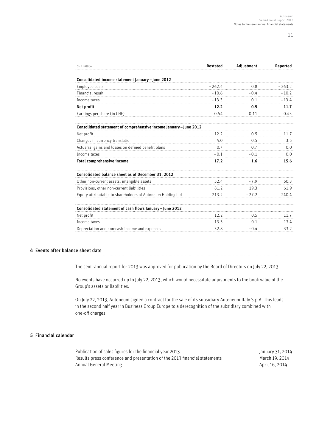11

| CHF million                                                        | Restated       | Adjustment     | Reported |
|--------------------------------------------------------------------|----------------|----------------|----------|
| Consolidated income statement January - June 2012                  |                |                |          |
| Employee costs                                                     | $-262.4$       | 0.8            | $-263.2$ |
| Financial result                                                   | $-10.6$        | $-0.4$         | $-10.2$  |
| Income taxes                                                       | $-13.3$        | 0.1            | $-13.4$  |
| Net profit                                                         | 12.2           | 0.5            | 11.7     |
| Earnings per share (in CHF)                                        | 0.54           | 0.11           | 0.43     |
| Consolidated statement of comprehensive income January - June 2012 |                |                |          |
| Net profit                                                         | 12.2           | 0.5            | 11.7     |
| Changes in currency translation                                    | 4.0            | 0.5            | 3.5      |
| Actuarial gains and losses on defined benefit plans                | 0 <sub>7</sub> | 0 <sub>7</sub> | 0.0      |
| Income taxes                                                       | $-0.1$         | - ೧ 1          | 0.0      |
| Total comprehensive income                                         | 17.2           | 1.6            | 15.6     |
| Consolidated balance sheet as of December 31, 2012                 |                |                |          |
| Other non-current assets, intangible assets                        | 52.4           | $-7.9$         | 60.3     |
| Provisions, other non-current liabilities                          | 81.2           | 19.3           | 61.9     |
| Equity attributable to shareholders of Autoneum Holding Ltd        | 213.2          | $-27.2$        | 240.4    |
| Consolidated statement of cash flows January - June 2012           |                |                |          |
| Net profit                                                         | 12.2           | 0.5            | 11.7     |
| Income taxes                                                       | 13.3           | $-0.1$         | 13.4     |
| Depreciation and non-cash income and expenses                      | 32.8           | $-0.4$         | 33.2     |

### 4 Events after balance sheet date

The semi-annual report for 2013 was approved for publication by the Board of Directors on July 22, 2013.

No events have occurred up to July 22, 2013, which would necessitate adjustments to the book value of the Group's assets or liabilities.

On July 22, 2013, Autoneum signed a contract for the sale of its subsidiary Autoneum Italy S.p.A. This leads in the second half year in Business Group Europe to a derecognition of the subsidiary combined with one-off charges.

### 5 Financial calendar

Publication of sales figures for the financial year 2013 January 31, 2014 Results press conference and presentation of the 2013 financial statements March 19, 2014 Annual General Meeting and the state of the state of the April 16, 2014 April 16, 2014